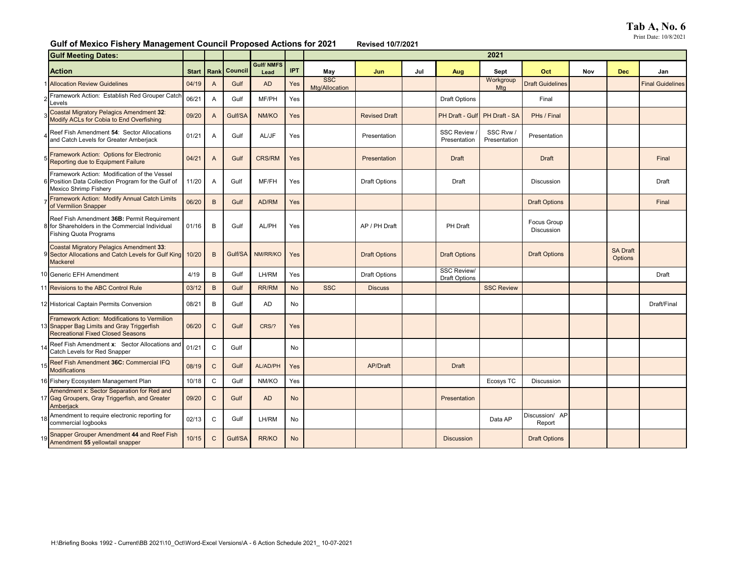## **Gulf of Mexico Fishery Management Council Proposed Actions for 2021 Revised 10/7/2021**

| <b>Gulf Meeting Dates:</b>                                                                                                             |              |                |         |                           |            | 2021                         |                      |     |                                            |                           |                                  |     |                            |                         |
|----------------------------------------------------------------------------------------------------------------------------------------|--------------|----------------|---------|---------------------------|------------|------------------------------|----------------------|-----|--------------------------------------------|---------------------------|----------------------------------|-----|----------------------------|-------------------------|
| <b>Action</b>                                                                                                                          | <b>Start</b> | Rank           | Council | <b>Gulf/ NMFS</b><br>Lead | <b>IPT</b> | May                          | Jun                  | Jul | Aug                                        | Sept                      | Oct                              | Nov | <b>Dec</b>                 | Jan                     |
| 1 Allocation Review Guidelines                                                                                                         | 04/19        | $\overline{A}$ | Gulf    | <b>AD</b>                 | Yes        | <b>SSC</b><br>Mtg/Allocation |                      |     |                                            | Workgroup<br>Mtg          | <b>Draft Guidelines</b>          |     |                            | <b>Final Guidelines</b> |
| Framework Action: Establish Red Grouper Catch<br>evels.                                                                                | 06/21        | A              | Gulf    | MF/PH                     | Yes        |                              |                      |     | <b>Draft Options</b>                       |                           | Final                            |     |                            |                         |
| <b>Coastal Migratory Pelagics Amendment 32:</b><br>Modify ACLs for Cobia to End Overfishing                                            | 09/20        | A              | Gulf/SA | NM/KO                     | Yes        |                              | <b>Revised Draft</b> |     | PH Draft - Gulf                            | PH Draft - SA             | PHs / Final                      |     |                            |                         |
| Reef Fish Amendment 54: Sector Allocations<br>and Catch Levels for Greater Amberjack                                                   | 01/21        | Α              | Gulf    | AL/JF                     | Yes        |                              | Presentation         |     | <b>SSC Review</b><br>Presentation          | SSC Rvw /<br>Presentation | Presentation                     |     |                            |                         |
| Framework Action: Options for Electronic<br>Reporting due to Equipment Failure                                                         | 04/21        | $\mathsf{A}$   | Gulf    | <b>CRS/RM</b>             | Yes        |                              | Presentation         |     | <b>Draft</b>                               |                           | <b>Draft</b>                     |     |                            | Final                   |
| Framework Action: Modification of the Vessel<br>6 Position Data Collection Program for the Gulf of<br>Mexico Shrimp Fishery            | 11/20        | A              | Gulf    | MF/FH                     | Yes        |                              | <b>Draft Options</b> |     | Draft                                      |                           | Discussion                       |     |                            | Draft                   |
| Framework Action: Modify Annual Catch Limits<br>of Vermilion Snapper                                                                   | 06/20        | B              | Gulf    | AD/RM                     | Yes        |                              |                      |     |                                            |                           | <b>Draft Options</b>             |     |                            | Final                   |
| Reef Fish Amendment 36B: Permit Requirement<br>8 for Shareholders in the Commercial Individual<br><b>Fishing Quota Programs</b>        | 01/16        | B              | Gulf    | AL/PH                     | Yes        |                              | AP / PH Draft        |     | <b>PH Draft</b>                            |                           | <b>Focus Group</b><br>Discussion |     |                            |                         |
| <b>Coastal Migratory Pelagics Amendment 33:</b><br>9 Sector Allocations and Catch Levels for Gulf King<br><b>Mackerel</b>              | 10/20        | B              | Gulf/SA | NM/RR/KO                  | Yes        |                              | <b>Draft Options</b> |     | <b>Draft Options</b>                       |                           | <b>Draft Options</b>             |     | <b>SA Draft</b><br>Options |                         |
| 10 Generic EFH Amendment                                                                                                               | 4/19         | B              | Gulf    | LH/RM                     | Yes        |                              | Draft Options        |     | <b>SSC Review/</b><br><b>Draft Options</b> |                           |                                  |     |                            | Draft                   |
| 11 Revisions to the ABC Control Rule                                                                                                   | 03/12        | B              | Gulf    | <b>RR/RM</b>              | <b>No</b>  | <b>SSC</b>                   | <b>Discuss</b>       |     |                                            | <b>SSC Review</b>         |                                  |     |                            |                         |
| 12 Historical Captain Permits Conversion                                                                                               | 08/21        | B              | Gulf    | <b>AD</b>                 | No         |                              |                      |     |                                            |                           |                                  |     |                            | Draft/Final             |
| Framework Action: Modifications to Vermilion<br>13 Snapper Bag Limits and Gray Triggerfish<br><b>Recreational Fixed Closed Seasons</b> | 06/20        | $\mathsf C$    | Gulf    | CRS/?                     | Yes        |                              |                      |     |                                            |                           |                                  |     |                            |                         |
| Reef Fish Amendment x: Sector Allocations and<br>Catch Levels for Red Snapper                                                          | 01/21        | C              | Gulf    |                           | No         |                              |                      |     |                                            |                           |                                  |     |                            |                         |
| 15 Reef Fish Amendment 36C: Commercial IFQ<br><b>Modifications</b>                                                                     | 08/19        | $\mathsf C$    | Gulf    | AL/AD/PH                  | Yes        |                              | AP/Draft             |     | Draft                                      |                           |                                  |     |                            |                         |
| 16 Fishery Ecosystem Management Plan                                                                                                   | 10/18        | $\mathsf C$    | Gulf    | NM/KO                     | Yes        |                              |                      |     |                                            | Ecosys TC                 | Discussion                       |     |                            |                         |
| Amendment x: Sector Separation for Red and<br>17 Gag Groupers, Gray Triggerfish, and Greater<br>Amberjack                              | 09/20        | $\mathsf C$    | Gulf    | <b>AD</b>                 | <b>No</b>  |                              |                      |     | Presentation                               |                           |                                  |     |                            |                         |
| 18 Amendment to require electronic reporting for<br>commercial logbooks                                                                | 02/13        | C              | Gulf    | LH/RM                     | No         |                              |                      |     |                                            | Data AP                   | Discussion/ AP<br>Report         |     |                            |                         |
| 19 Snapper Grouper Amendment 44 and Reef Fish<br>Amendment 55 yellowtail snapper                                                       | 10/15        | $\mathsf{C}$   | Gulf/SA | RR/KO                     | <b>No</b>  |                              |                      |     | <b>Discussion</b>                          |                           | <b>Draft Options</b>             |     |                            |                         |